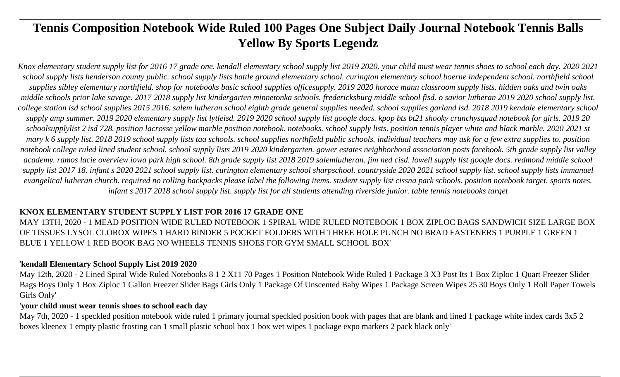# **Tennis Composition Notebook Wide Ruled 100 Pages One Subject Daily Journal Notebook Tennis Balls Yellow By Sports Legendz**

*Knox elementary student supply list for 2016 17 grade one. kendall elementary school supply list 2019 2020. your child must wear tennis shoes to school each day. 2020 2021 school supply lists henderson county public. school supply lists battle ground elementary school. curington elementary school boerne independent school. northfield school supplies sibley elementary northfield. shop for notebooks basic school supplies officesupply. 2019 2020 horace mann classroom supply lists. hidden oaks and twin oaks middle schools prior lake savage. 2017 2018 supply list kindergarten minnetonka schools. fredericksburg middle school fisd. o savior lutheran 2019 2020 school supply list. college station isd school supplies 2015 2016. salem lutheran school eighth grade general supplies needed. school supplies garland isd. 2018 2019 kendale elementary school supply amp summer. 2019 2020 elementary supply list lytleisd. 2019 2020 school supply list google docs. kpop bts bt21 shooky crunchysquad notebook for girls. 2019 20 schoolsupplylist 2 isd 728. position lacrosse yellow marble position notebook. notebooks. school supply lists. position tennis player white and black marble. 2020 2021 st mary k 6 supply list. 2018 2019 school supply lists taa schools. school supplies northfield public schools. individual teachers may ask for a few extra supplies to. position notebook college ruled lined student school. school supply lists 2019 2020 kindergarten. gower estates neighborhood association posts facebook. 5th grade supply list valley academy. ramos lacie overview iowa park high school. 8th grade supply list 2018 2019 salemlutheran. jim ned cisd. lowell supply list google docs. redmond middle school supply list 2017 18. infant s 2020 2021 school supply list. curington elementary school sharpschool. countryside 2020 2021 school supply list. school supply lists immanuel evangelical lutheran church. required no rolling backpacks please label the following items. student supply list cissna park schools. position notebook target. sports notes. infant s 2017 2018 school supply list. supply list for all students attending riverside junior. table tennis notebooks target*

# **KNOX ELEMENTARY STUDENT SUPPLY LIST FOR 2016 17 GRADE ONE**

MAY 13TH, 2020 - 1 MEAD POSITION WIDE RULED NOTEBOOK 1 SPIRAL WIDE RULED NOTEBOOK 1 BOX ZIPLOC BAGS SANDWICH SIZE LARGE BOX OF TISSUES LYSOL CLOROX WIPES 1 HARD BINDER 5 POCKET FOLDERS WITH THREE HOLE PUNCH NO BRAD FASTENERS 1 PURPLE 1 GREEN 1 BLUE 1 YELLOW 1 RED BOOK BAG NO WHEELS TENNIS SHOES FOR GYM SMALL SCHOOL BOX'

# '**kendall Elementary School Supply List 2019 2020**

May 12th, 2020 - 2 Lined Spiral Wide Ruled Notebooks 8 1 2 X11 70 Pages 1 Position Notebook Wide Ruled 1 Package 3 X3 Post Its 1 Box Ziploc 1 Quart Freezer Slider Bags Boys Only 1 Box Ziploc 1 Gallon Freezer Slider Bags Girls Only 1 Package Of Unscented Baby Wipes 1 Package Screen Wipes 25 30 Boys Only 1 Roll Paper Towels Girls Only'

# '**your child must wear tennis shoes to school each day**

May 7th, 2020 - 1 speckled position notebook wide ruled 1 primary journal speckled position book with pages that are blank and lined 1 package white index cards 3x5 2 boxes kleenex 1 empty plastic frosting can 1 small plastic school box 1 box wet wipes 1 package expo markers 2 pack black only'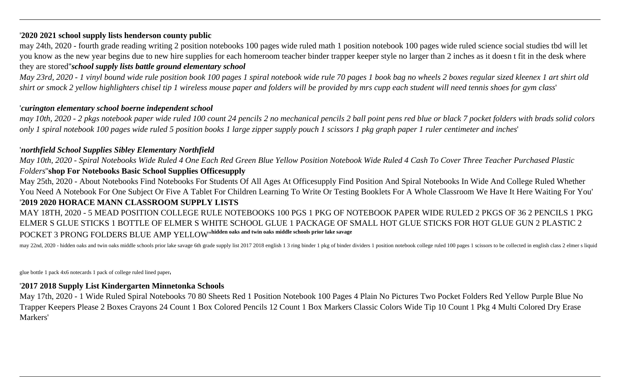# '**2020 2021 school supply lists henderson county public**

may 24th, 2020 - fourth grade reading writing 2 position notebooks 100 pages wide ruled math 1 position notebook 100 pages wide ruled science social studies tbd will let you know as the new year begins due to new hire supplies for each homeroom teacher binder trapper keeper style no larger than 2 inches as it doesn t fit in the desk where they are stored''*school supply lists battle ground elementary school*

*May 23rd, 2020 - 1 vinyl bound wide rule position book 100 pages 1 spiral notebook wide rule 70 pages 1 book bag no wheels 2 boxes regular sized kleenex 1 art shirt old shirt or smock 2 yellow highlighters chisel tip 1 wireless mouse paper and folders will be provided by mrs cupp each student will need tennis shoes for gym class*'

# '*curington elementary school boerne independent school*

*may 10th, 2020 - 2 pkgs notebook paper wide ruled 100 count 24 pencils 2 no mechanical pencils 2 ball point pens red blue or black 7 pocket folders with brads solid colors only 1 spiral notebook 100 pages wide ruled 5 position books 1 large zipper supply pouch 1 scissors 1 pkg graph paper 1 ruler centimeter and inches*'

# '*northfield School Supplies Sibley Elementary Northfield*

*May 10th, 2020 - Spiral Notebooks Wide Ruled 4 One Each Red Green Blue Yellow Position Notebook Wide Ruled 4 Cash To Cover Three Teacher Purchased Plastic Folders*''**shop For Notebooks Basic School Supplies Officesupply**

May 25th, 2020 - About Notebooks Find Notebooks For Students Of All Ages At Officesupply Find Position And Spiral Notebooks In Wide And College Ruled Whether You Need A Notebook For One Subject Or Five A Tablet For Children Learning To Write Or Testing Booklets For A Whole Classroom We Have It Here Waiting For You' '**2019 2020 HORACE MANN CLASSROOM SUPPLY LISTS**

# MAY 18TH, 2020 - 5 MEAD POSITION COLLEGE RULE NOTEBOOKS 100 PGS 1 PKG OF NOTEBOOK PAPER WIDE RULED 2 PKGS OF 36 2 PENCILS 1 PKG ELMER S GLUE STICKS 1 BOTTLE OF ELMER S WHITE SCHOOL GLUE 1 PACKAGE OF SMALL HOT GLUE STICKS FOR HOT GLUE GUN 2 PLASTIC 2 POCKET 3 PRONG FOLDERS BLUE AMP YELLOW''**hidden oaks and twin oaks middle schools prior lake savage**

may 22nd, 2020 - hidden oaks and twin oaks middle schools prior lake sayage 6th grade supply list 2017 2018 english 1 3 ring binder 1 pkg of binder dividers 1 position notebook college ruled 100 pages 1 scissors to be coll

glue bottle 1 pack 4x6 notecards 1 pack of college ruled lined paper'

# '**2017 2018 Supply List Kindergarten Minnetonka Schools**

May 17th, 2020 - 1 Wide Ruled Spiral Notebooks 70 80 Sheets Red 1 Position Notebook 100 Pages 4 Plain No Pictures Two Pocket Folders Red Yellow Purple Blue No Trapper Keepers Please 2 Boxes Crayons 24 Count 1 Box Colored Pencils 12 Count 1 Box Markers Classic Colors Wide Tip 10 Count 1 Pkg 4 Multi Colored Dry Erase Markers'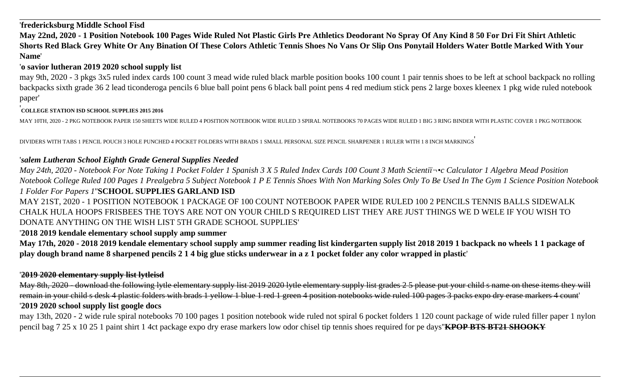# '**fredericksburg Middle School Fisd**

**May 22nd, 2020 - 1 Position Notebook 100 Pages Wide Ruled Not Plastic Girls Pre Athletics Deodorant No Spray Of Any Kind 8 50 For Dri Fit Shirt Athletic Shorts Red Black Grey White Or Any Bination Of These Colors Athletic Tennis Shoes No Vans Or Slip Ons Ponytail Holders Water Bottle Marked With Your Name**'

# '**o savior lutheran 2019 2020 school supply list**

may 9th, 2020 - 3 pkgs 3x5 ruled index cards 100 count 3 mead wide ruled black marble position books 100 count 1 pair tennis shoes to be left at school backpack no rolling backpacks sixth grade 36 2 lead ticonderoga pencils 6 blue ball point pens 6 black ball point pens 4 red medium stick pens 2 large boxes kleenex 1 pkg wide ruled notebook paper'

# '**COLLEGE STATION ISD SCHOOL SUPPLIES 2015 2016**

MAY 10TH, 2020 - 2 PKG NOTEBOOK PAPER 150 SHEETS WIDE RULED 4 POSITION NOTEBOOK WIDE RULED 3 SPIRAL NOTEBOOKS 70 PAGES WIDE RULED 1 BIG 3 RING BINDER WITH PLASTIC COVER 1 PKG NOTEBOOK

DIVIDERS WITH TABS 1 PENCIL POUCH 3 HOLE PUNCHED 4 POCKET FOLDERS WITH BRADS 1 SMALL PERSONAL SIZE PENCIL SHARPENER 1 RULER WITH 1 8 INCH MARKINGS'

# '*salem Lutheran School Eighth Grade General Supplies Needed*

*May 24th, 2020 - Notebook For Note Taking 1 Pocket Folder 1 Spanish 3 X 5 Ruled Index Cards 100 Count 3 Math Scientiﬕc Calculator 1 Algebra Mead Position Notebook College Ruled 100 Pages 1 Prealgebra 5 Subject Notebook 1 P E Tennis Shoes With Non Marking Soles Only To Be Used In The Gym 1 Science Position Notebook 1 Folder For Papers 1*''**SCHOOL SUPPLIES GARLAND ISD**

MAY 21ST, 2020 - 1 POSITION NOTEBOOK 1 PACKAGE OF 100 COUNT NOTEBOOK PAPER WIDE RULED 100 2 PENCILS TENNIS BALLS SIDEWALK CHALK HULA HOOPS FRISBEES THE TOYS ARE NOT ON YOUR CHILD S REQUIRED LIST THEY ARE JUST THINGS WE D WELE IF YOU WISH TO DONATE ANYTHING ON THE WISH LIST 5TH GRADE SCHOOL SUPPLIES'

# '**2018 2019 kendale elementary school supply amp summer**

**May 17th, 2020 - 2018 2019 kendale elementary school supply amp summer reading list kindergarten supply list 2018 2019 1 backpack no wheels 1 1 package of play dough brand name 8 sharpened pencils 2 1 4 big glue sticks underwear in a z 1 pocket folder any color wrapped in plastic**'

# '**2019 2020 elementary supply list lytleisd**

May 8th, 2020 - download the following lytle elementary supply list 2019 2020 lytle elementary supply list grades 2 5 please put your child s name on these items they will remain in your child s desk 4 plastic folders with brads 1 yellow 1 blue 1 red 1 green 4 position notebooks wide ruled 100 pages 3 packs expo dry erase markers 4 count' '**2019 2020 school supply list google docs**

may 13th, 2020 - 2 wide rule spiral notebooks 70 100 pages 1 position notebook wide ruled not spiral 6 pocket folders 1 120 count package of wide ruled filler paper 1 nylon pencil bag 7 25 x 10 25 1 paint shirt 1 4ct package expo dry erase markers low odor chisel tip tennis shoes required for pe days''**KPOP BTS BT21 SHOOKY**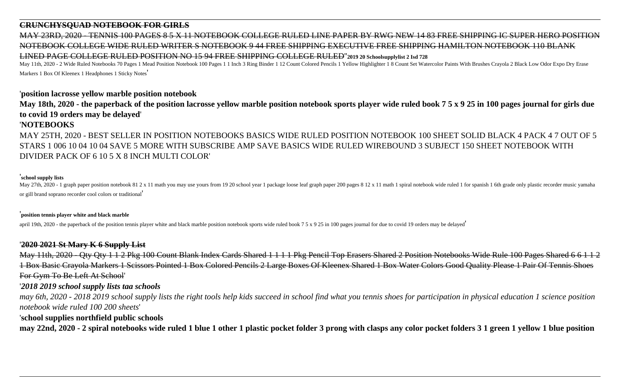# **CRUNCHYSQUAD NOTEBOOK FOR GIRLS**

MAY 23RD, 2020 - TENNIS 100 PAGES 8 5 X 11 NOTEBOOK COLLEGE RULED LINE PAPER BY RWG NEW 1 NOTEBOOK COLLEGE WIDE RULED WRITER S NOTEBOOK 9 44 FREE SHIPPING EXECUTIVE FREE SHIPPING HAMILTON NOTEBOOK 110 BLANK LINED PAGE COLLEGE RULED POSITION NO 15 94 FREE SHIPPING COLLEGE RULED''**2019 20 Schoolsupplylist 2 Isd 728**

May 11th, 2020 - 2 Wide Ruled Notebooks 70 Pages 1 Mead Position Notebook 100 Pages 1 1 Inch 3 Ring Binder 1 12 Count Colored Pencils 1 Yellow Highlighter 1 8 Count Set Watercolor Paints With Brushes Crayola 2 Black Low Od Markers 1 Box Of Kleenex 1 Headphones 1 Sticky Notes'

#### '**position lacrosse yellow marble position notebook**

**May 18th, 2020 - the paperback of the position lacrosse yellow marble position notebook sports player wide ruled book 7 5 x 9 25 in 100 pages journal for girls due to covid 19 orders may be delayed**'

### '**NOTEBOOKS**

MAY 25TH, 2020 - BEST SELLER IN POSITION NOTEBOOKS BASICS WIDE RULED POSITION NOTEBOOK 100 SHEET SOLID BLACK 4 PACK 4 7 OUT OF 5 STARS 1 006 10 04 10 04 SAVE 5 MORE WITH SUBSCRIBE AMP SAVE BASICS WIDE RULED WIREBOUND 3 SUBJECT 150 SHEET NOTEBOOK WITH DIVIDER PACK OF 6 10 5 X 8 INCH MULTI COLOR'

#### '**school supply lists**

May 27th, 2020 - 1 graph paper position notebook 81 2 x 11 math you may use yours from 19 20 school year 1 package loose leaf graph paper 200 pages 8 12 x 11 math 1 spiral notebook wide ruled 1 for spanish 1 6th grade only or gill brand soprano recorder cool colors or traditional'

#### '**position tennis player white and black marble**

april 19th, 2020 - the paperback of the position tennis player white and black marble position notebook sports wide ruled book  $7.5 \times 9.25$  in 100 pages journal for due to covid 19 orders may be delayed

### '**2020 2021 St Mary K 6 Supply List**

May 11th, 2020 - Qty Qty 1 1 2 Pkg 100 Count Blank Index Cards Shared 1 1 1 1 Pkg Pencil Top Erasers Shared 2 Position Notebooks Wide Rule 100 Pages Shared 6 6 1 1 2 1 Box Basic Crayola Markers 1 Scissors Pointed 1 Box Colored Pencils 2 Large Boxes Of Kleenex Shared 1 Box Water Colors Good Quality Please 1 Pair Of Tennis Shoes For Gym To Be Left At School'

### '*2018 2019 school supply lists taa schools*

*may 6th, 2020 - 2018 2019 school supply lists the right tools help kids succeed in school find what you tennis shoes for participation in physical education 1 science position notebook wide ruled 100 200 sheets*'

### '**school supplies northfield public schools**

**may 22nd, 2020 - 2 spiral notebooks wide ruled 1 blue 1 other 1 plastic pocket folder 3 prong with clasps any color pocket folders 3 1 green 1 yellow 1 blue position**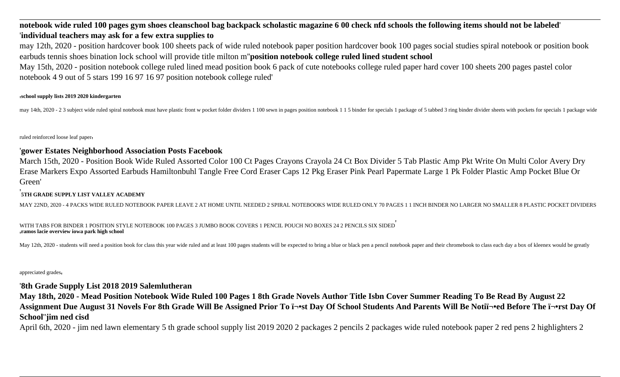# **notebook wide ruled 100 pages gym shoes cleanschool bag backpack scholastic magazine 6 00 check nfd schools the following items should not be labeled**' '**individual teachers may ask for a few extra supplies to**

may 12th, 2020 - position hardcover book 100 sheets pack of wide ruled notebook paper position hardcover book 100 pages social studies spiral notebook or position book earbuds tennis shoes bination lock school will provide title milton m''**position notebook college ruled lined student school**

May 15th, 2020 - position notebook college ruled lined mead position book 6 pack of cute notebooks college ruled paper hard cover 100 sheets 200 pages pastel color notebook 4 9 out of 5 stars 199 16 97 16 97 position notebook college ruled'

#### '**school supply lists 2019 2020 kindergarten**

may 14th, 2020 - 2 3 subject wide ruled spiral notebook must have plastic front w pocket folder dividers 1 100 sewn in pages position notebook 1 1 5 binder for specials 1 package of 5 tabbed 3 ring binder divider sheets wi

#### ruled reinforced loose leaf paper'

### '**gower Estates Neighborhood Association Posts Facebook**

March 15th, 2020 - Position Book Wide Ruled Assorted Color 100 Ct Pages Crayons Crayola 24 Ct Box Divider 5 Tab Plastic Amp Pkt Write On Multi Color Avery Dry Erase Markers Expo Assorted Earbuds Hamiltonbuhl Tangle Free Cord Eraser Caps 12 Pkg Eraser Pink Pearl Papermate Large 1 Pk Folder Plastic Amp Pocket Blue Or Green'

#### '**5TH GRADE SUPPLY LIST VALLEY ACADEMY**

MAY 22ND, 2020 - 4 PACKS WIDE RULED NOTEBOOK PAPER LEAVE 2 AT HOME UNTIL NEEDED 2 SPIRAL NOTEBOOKS WIDE RULED ONLY 70 PAGES 1 1 INCH BINDER NO LARGER NO SMALLER 8 PLASTIC POCKET DIVIDERS

WITH TABS FOR BINDER 1 POSITION STYLE NOTEBOOK 100 PAGES 3 JUMBO BOOK COVERS 1 PENCIL POUCH NO BOXES 24 2 PENCILS SIX SIDED' '**ramos lacie overview iowa park high school**

May 12th, 2020 - students will need a position book for class this year wide ruled and at least 100 pages students will be expected to bring a blue or black pen a pencil notebook paper and their chromebook to class each da

appreciated grades'

### '**8th Grade Supply List 2018 2019 Salemlutheran**

**May 18th, 2020 - Mead Position Notebook Wide Ruled 100 Pages 1 8th Grade Novels Author Title Isbn Cover Summer Reading To Be Read By August 22** Assignment Due August 31 Novels For 8th Grade Will Be Assigned Prior To ï¬ost Day Of School Students And Parents Will Be Notiï¬oed Before The ï¬orst Day Of **School**''**jim ned cisd**

April 6th, 2020 - jim ned lawn elementary 5 th grade school supply list 2019 2020 2 packages 2 pencils 2 packages wide ruled notebook paper 2 red pens 2 highlighters 2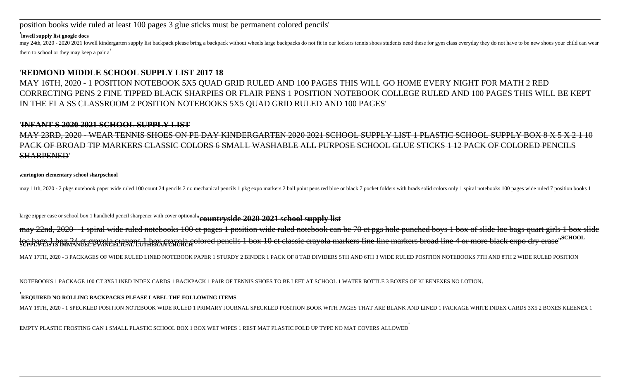position books wide ruled at least 100 pages 3 glue sticks must be permanent colored pencils'

#### '**lowell supply list google docs**

may 24th, 2020 - 2020 2021 lowell kindergarten supply list backpack please bring a backpack without wheels large backpacks do not fit in our lockers tennis shoes students need these for gym class everyday they do not have them to school or they may keep a pair a'

# '**REDMOND MIDDLE SCHOOL SUPPLY LIST 2017 18**

MAY 16TH, 2020 - 1 POSITION NOTEBOOK 5X5 QUAD GRID RULED AND 100 PAGES THIS WILL GO HOME EVERY NIGHT FOR MATH 2 RED CORRECTING PENS 2 FINE TIPPED BLACK SHARPIES OR FLAIR PENS 1 POSITION NOTEBOOK COLLEGE RULED AND 100 PAGES THIS WILL BE KEPT IN THE ELA SS CLASSROOM 2 POSITION NOTEBOOKS 5X5 QUAD GRID RULED AND 100 PAGES'

#### '**INFANT S 2020 2021 SCHOOL SUPPLY LIST**

23RD, 2020 - WEAR TENNIS SHOES ON PE DAY KINDERGARTEN 2020 2021 SCHOOL SUPPLY LIST 1 PLASTIC SCHOOL SUPPLY BOX PACK OF BROAD TIP MARKERS CLASSIC COLORS 6 SMALL WASHABLE ALL PURPOSE SCHOOL GLUE STICKS 1 12 PACK OF COLORED PENCILS SHARPENED'

'**curington elementary school sharpschool**

may 11th, 2020 - 2 pkgs notebook paper wide ruled 100 count 24 pencils 2 no mechanical pencils 1 pkg expo markers 2 ball point pens red blue or black 7 pocket folders with brads solid colors only 1 spiral notebooks 100 pag

large zipper case or school box 1 handheld pencil sharpener with cover optional''**countryside 2020 2021 school supply list**

may 22nd, 2020 - 1 spiral wide ruled notebooks 100 ct pages 1 position wide ruled notebook can be 70 ct pgs hole punched boys 1 box of slide loc bags quart girls 1 box slide loc bags. Lbox 24 ct crayola crayons Lbox crayola colored pencils 1 box 10 ct classic crayola markers fine line markers broad line 4 or more black expo dry erase" SCHOOL<br>SUPPLYELISTS IMMANCELTEVANGELTCALLU HERAN CHURCH pen

MAY 17TH, 2020 - 3 PACKAGES OF WIDE RULED LINED NOTEBOOK PAPER 1 STURDY 2 BINDER 1 PACK OF 8 TAB DIVIDERS 5TH AND 6TH 3 WIDE RULED POSITION NOTEBOOKS 7TH AND 8TH 2 WIDE RULED POSITION

NOTEBOOKS 1 PACKAGE 100 CT 3X5 LINED INDEX CARDS 1 BACKPACK 1 PAIR OF TENNIS SHOES TO BE LEFT AT SCHOOL 1 WATER BOTTLE 3 BOXES OF KLEENEXES NO LOTION'

#### '**REQUIRED NO ROLLING BACKPACKS PLEASE LABEL THE FOLLOWING ITEMS**

MAY 19TH, 2020 - 1 SPECKLED POSITION NOTEBOOK WIDE RULED 1 PRIMARY JOURNAL SPECKLED POSITION BOOK WITH PAGES THAT ARE BLANK AND LINED 1 PACKAGE WHITE INDEX CARDS 3X5 2 BOXES KLEENEX 1

EMPTY PLASTIC FROSTING CAN 1 SMALL PLASTIC SCHOOL BOX 1 BOX WET WIPES 1 REST MAT PLASTIC FOLD UP TYPE NO MAT COVERS ALLOWED'